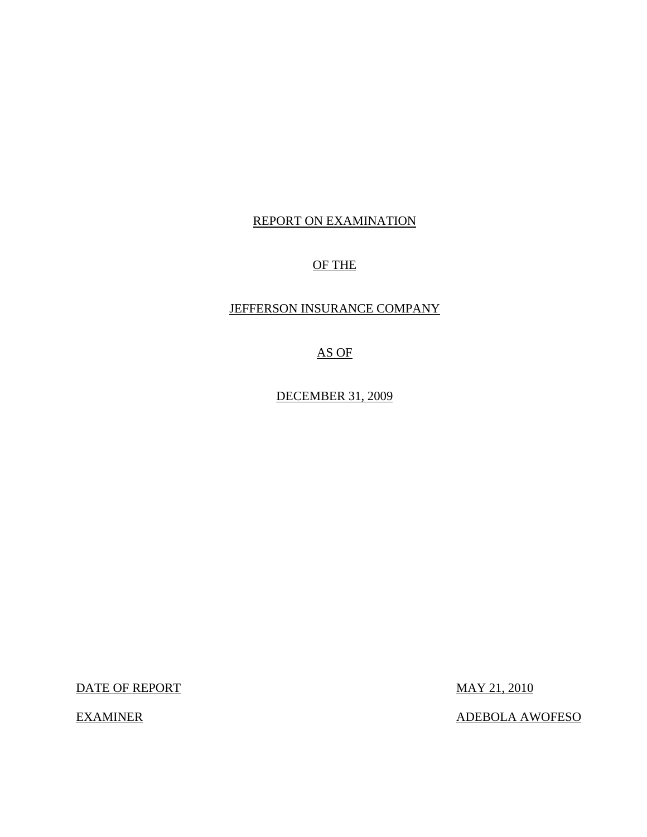## REPORT ON EXAMINATION

## OF THE

## JEFFERSON INSURANCE COMPANY

AS OF

DECEMBER 31, 2009

DATE OF REPORT MAY 21, 2010

EXAMINER ADEBOLA AWOFESO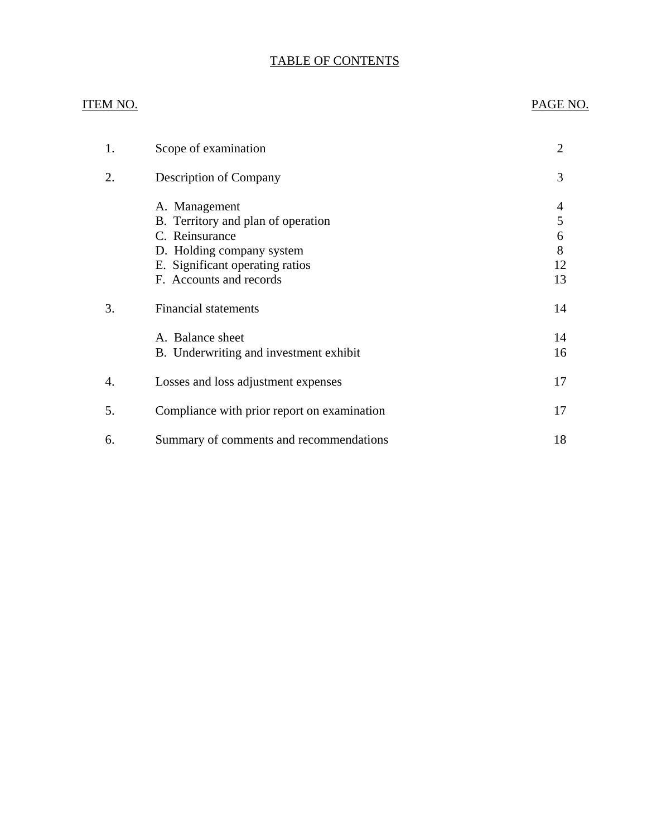## TABLE OF CONTENTS

## ITEM NO. PAGE NO.

| 1. | Scope of examination                                | $\overline{2}$ |
|----|-----------------------------------------------------|----------------|
| 2. | <b>Description of Company</b>                       | 3              |
|    | A. Management<br>B. Territory and plan of operation | 4<br>5         |
|    | C. Reinsurance                                      | 6              |
|    | D. Holding company system                           | 8              |
|    | E. Significant operating ratios                     | 12             |
|    | F. Accounts and records                             | 13             |
| 3. | <b>Financial statements</b>                         | 14             |
|    | A. Balance sheet                                    | 14             |
|    | B. Underwriting and investment exhibit              | 16             |
| 4. | Losses and loss adjustment expenses                 | 17             |
| 5. | Compliance with prior report on examination         | 17             |
| 6. | Summary of comments and recommendations             | 18             |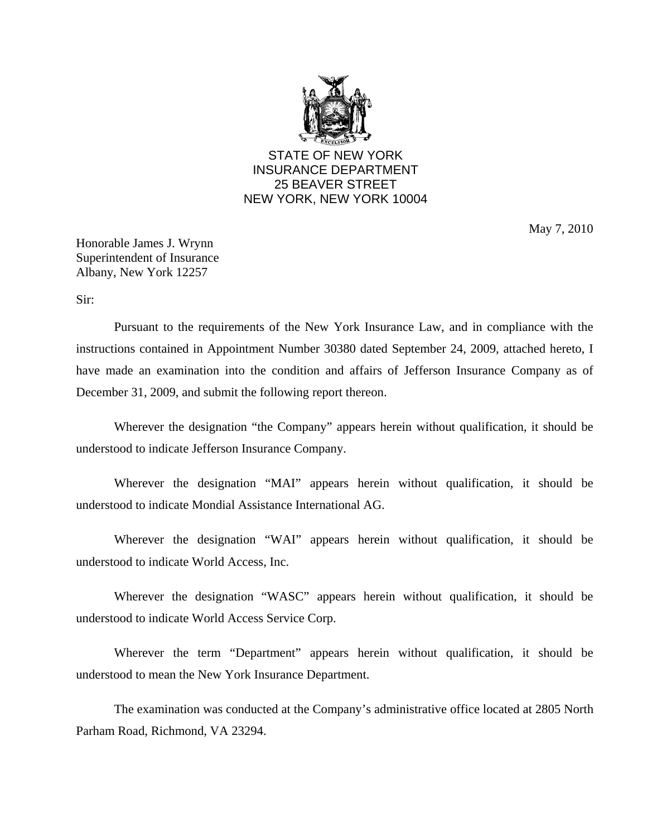

## STATE OF NEW YORK INSURANCE DEPARTMENT 25 BEAVER STREET NEW YORK, NEW YORK 10004

May 7, 2010

Honorable James J. Wrynn Superintendent of Insurance Albany, New York 12257

Sir:

Pursuant to the requirements of the New York Insurance Law, and in compliance with the instructions contained in Appointment Number 30380 dated September 24, 2009, attached hereto, I have made an examination into the condition and affairs of Jefferson Insurance Company as of December 31, 2009, and submit the following report thereon.

Wherever the designation "the Company" appears herein without qualification, it should be understood to indicate Jefferson Insurance Company.

Wherever the designation "MAI" appears herein without qualification, it should be understood to indicate Mondial Assistance International AG.

Wherever the designation "WAI" appears herein without qualification, it should be understood to indicate World Access, Inc.

Wherever the designation "WASC" appears herein without qualification, it should be understood to indicate World Access Service Corp.

Wherever the term "Department" appears herein without qualification, it should be understood to mean the New York Insurance Department.

The examination was conducted at the Company's administrative office located at 2805 North Parham Road, Richmond, VA 23294.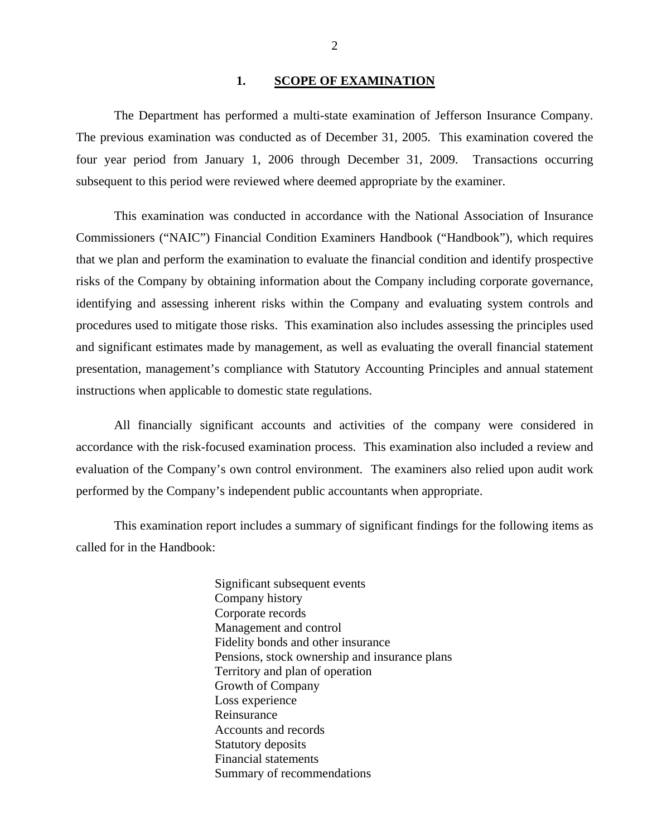#### 1. SCOPE OF EXAMINATION

<span id="page-3-0"></span>The Department has performed a multi-state examination of Jefferson Insurance Company. The previous examination was conducted as of December 31, 2005. This examination covered the four year period from January 1, 2006 through December 31, 2009. Transactions occurring subsequent to this period were reviewed where deemed appropriate by the examiner.

This examination was conducted in accordance with the National Association of Insurance Commissioners ("NAIC") Financial Condition Examiners Handbook ("Handbook"), which requires that we plan and perform the examination to evaluate the financial condition and identify prospective risks of the Company by obtaining information about the Company including corporate governance, identifying and assessing inherent risks within the Company and evaluating system controls and procedures used to mitigate those risks. This examination also includes assessing the principles used and significant estimates made by management, as well as evaluating the overall financial statement presentation, management's compliance with Statutory Accounting Principles and annual statement instructions when applicable to domestic state regulations.

All financially significant accounts and activities of the company were considered in accordance with the risk-focused examination process. This examination also included a review and evaluation of the Company's own control environment. The examiners also relied upon audit work performed by the Company's independent public accountants when appropriate.

This examination report includes a summary of significant findings for the following items as called for in the Handbook:

> Significant subsequent events Company history Corporate records Management and control Fidelity bonds and other insurance Pensions, stock ownership and insurance plans Territory and plan of operation Growth of Company Loss experience Reinsurance Accounts and records Statutory deposits Financial statements Summary of recommendations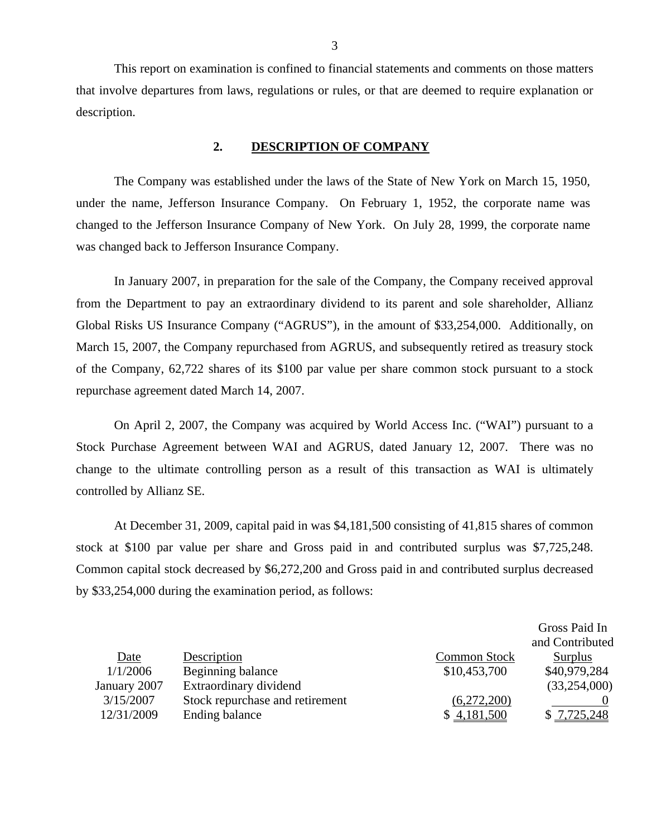This report on examination is confined to financial statements and comments on those matters that involve departures from laws, regulations or rules, or that are deemed to require explanation or description.

#### **2. DESCRIPTION OF COMPANY**

The Company was established under the laws of the State of New York on March 15, 1950, under the name, Jefferson Insurance Company. On February 1, 1952, the corporate name was changed to the Jefferson Insurance Company of New York. On July 28, 1999, the corporate name was changed back to Jefferson Insurance Company.

In January 2007, in preparation for the sale of the Company, the Company received approval from the Department to pay an extraordinary dividend to its parent and sole shareholder, Allianz Global Risks US Insurance Company ("AGRUS"), in the amount of \$33,254,000. Additionally, on March 15, 2007, the Company repurchased from AGRUS, and subsequently retired as treasury stock of the Company, 62,722 shares of its \$100 par value per share common stock pursuant to a stock repurchase agreement dated March 14, 2007.

On April 2, 2007, the Company was acquired by World Access Inc. ("WAI") pursuant to a Stock Purchase Agreement between WAI and AGRUS, dated January 12, 2007. There was no change to the ultimate controlling person as a result of this transaction as WAI is ultimately controlled by Allianz SE.

At December 31, 2009, capital paid in was \$4,181,500 consisting of 41,815 shares of common stock at \$100 par value per share and Gross paid in and contributed surplus was \$7,725,248. Common capital stock decreased by \$6,272,200 and Gross paid in and contributed surplus decreased by \$33,254,000 during the examination period, as follows:

|              |                                 |                     | Gross Paid In   |
|--------------|---------------------------------|---------------------|-----------------|
|              |                                 |                     | and Contributed |
| Date         | Description                     | <b>Common Stock</b> | Surplus         |
| 1/1/2006     | Beginning balance               | \$10,453,700        | \$40,979,284    |
| January 2007 | Extraordinary dividend          |                     | (33,254,000)    |
| 3/15/2007    | Stock repurchase and retirement | (6,272,200)         |                 |
| 12/31/2009   | Ending balance                  | \$4,181,500         | \$7,725,248     |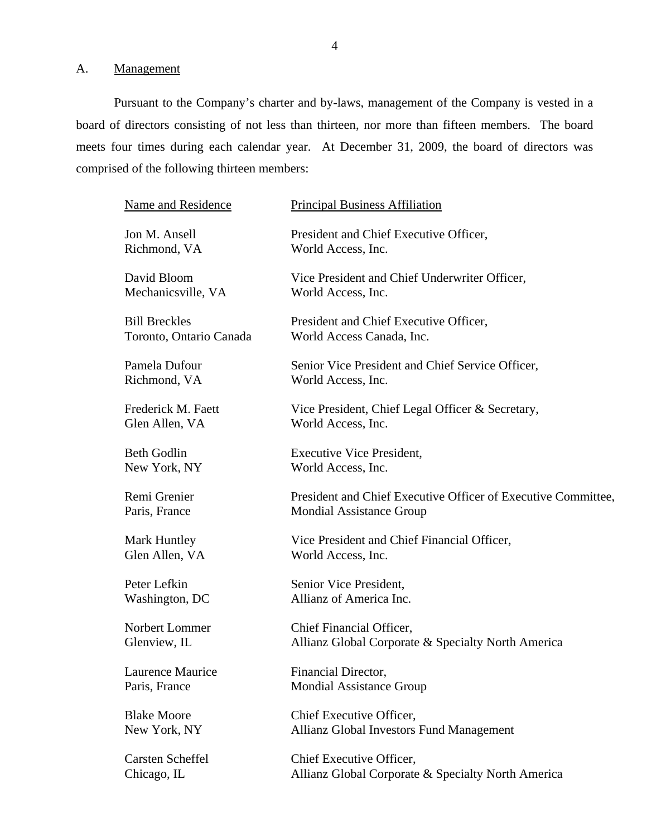<span id="page-5-0"></span>A. Management

Pursuant to the Company's charter and by-laws, management of the Company is vested in a board of directors consisting of not less than thirteen, nor more than fifteen members. The board meets four times during each calendar year. At December 31, 2009, the board of directors was comprised of the following thirteen members:

| <b>Principal Business Affiliation</b>                                                            |
|--------------------------------------------------------------------------------------------------|
| President and Chief Executive Officer,<br>World Access, Inc.                                     |
| Vice President and Chief Underwriter Officer,<br>World Access, Inc.                              |
| President and Chief Executive Officer,<br>World Access Canada, Inc.                              |
| Senior Vice President and Chief Service Officer,<br>World Access, Inc.                           |
| Vice President, Chief Legal Officer & Secretary,<br>World Access, Inc.                           |
| <b>Executive Vice President,</b><br>World Access, Inc.                                           |
| President and Chief Executive Officer of Executive Committee,<br><b>Mondial Assistance Group</b> |
| Vice President and Chief Financial Officer,<br>World Access, Inc.                                |
| Senior Vice President,<br>Allianz of America Inc.                                                |
| Chief Financial Officer,<br>Allianz Global Corporate & Specialty North America                   |
| Financial Director,<br><b>Mondial Assistance Group</b>                                           |
| Chief Executive Officer,<br><b>Allianz Global Investors Fund Management</b>                      |
| Chief Executive Officer,<br>Allianz Global Corporate & Specialty North America                   |
|                                                                                                  |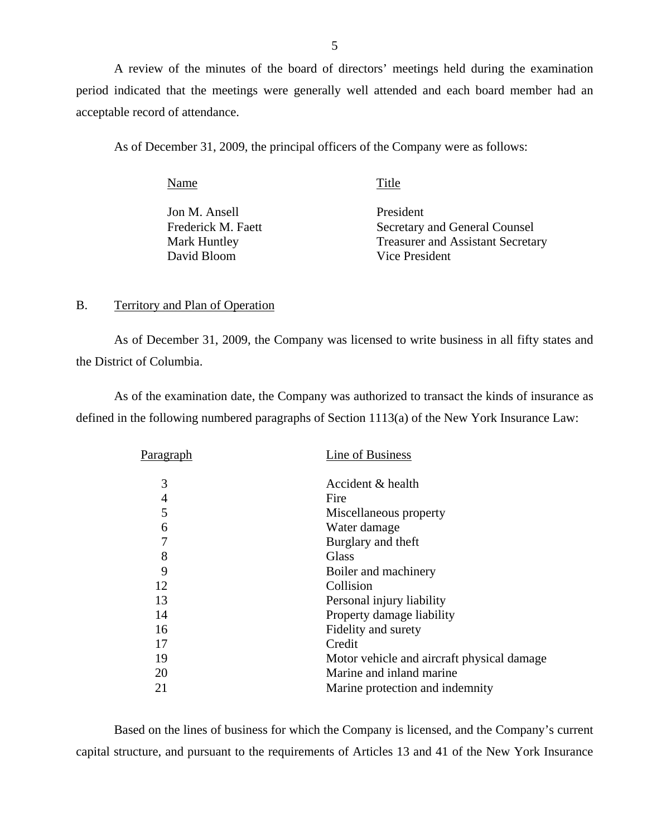<span id="page-6-0"></span>A review of the minutes of the board of directors' meetings held during the examination period indicated that the meetings were generally well attended and each board member had an acceptable record of attendance.

As of December 31, 2009, the principal officers of the Company were as follows:

Name Title Jon M. Ansell President Frederick M. Faett Secretary and General Counsel Mark Huntley Treasurer and Assistant Secretary David Bloom Vice President

#### B. Territory and Plan of Operation

As of December 31, 2009, the Company was licensed to write business in all fifty states and the District of Columbia.

As of the examination date, the Company was authorized to transact the kinds of insurance as defined in the following numbered paragraphs of Section 1113(a) of the New York Insurance Law:

| Paragraph | Line of Business                            |
|-----------|---------------------------------------------|
| 3         | Accident & health                           |
| 4         | Fire                                        |
| 5         | Miscellaneous property                      |
| 6         | Water damage                                |
| 7         | Burglary and theft                          |
| 8         | Glass                                       |
| 9         | Boiler and machinery                        |
| 12        | Collision                                   |
| 13        | Personal injury liability                   |
| 14        | Property damage liability                   |
| 16        | Fidelity and surety                         |
| 17        | Credit                                      |
| 19        | Motor vehicle and aircraft physical damage. |
| 20        | Marine and inland marine                    |
| 21        | Marine protection and indemnity             |
|           |                                             |

Based on the lines of business for which the Company is licensed, and the Company's current capital structure, and pursuant to the requirements of Articles 13 and 41 of the New York Insurance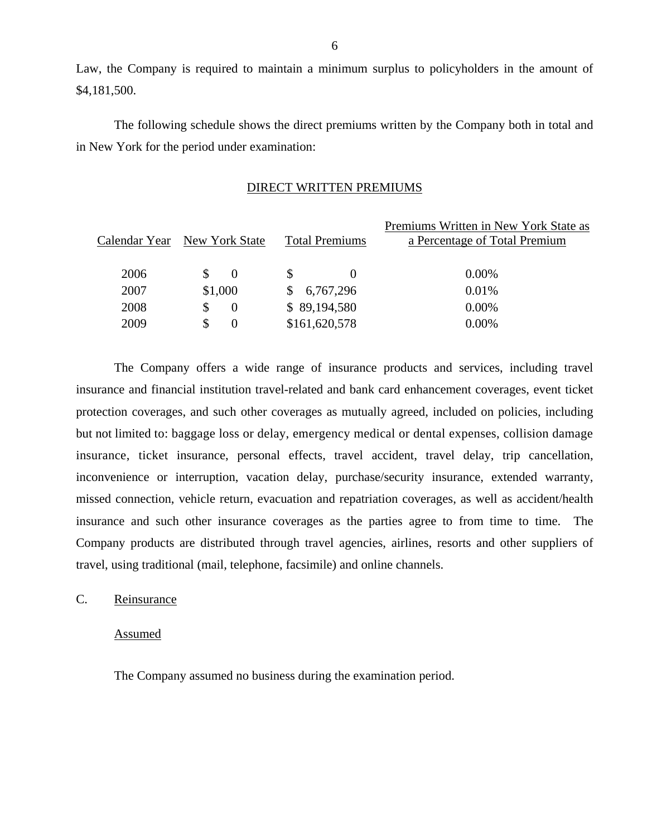Law, the Company is required to maintain a minimum surplus to policyholders in the amount of \$4,181,500.

The following schedule shows the direct premiums written by the Company both in total and in New York for the period under examination:

#### DIRECT WRITTEN PREMIUMS

|      | Calendar Year New York State | <b>Total Premiums</b> | Premiums Written in New York State as<br>a Percentage of Total Premium |
|------|------------------------------|-----------------------|------------------------------------------------------------------------|
| 2006 | S.<br>$\Omega$               |                       | $0.00\%$                                                               |
| 2007 | \$1,000                      | 6,767,296             | 0.01%                                                                  |
| 2008 | \$.<br>$\Omega$              | \$89,194,580          | $0.00\%$                                                               |
| 2009 | \$.<br>$\theta$              | \$161,620,578         | 0.00%                                                                  |
|      |                              |                       |                                                                        |

The Company offers a wide range of insurance products and services, including travel insurance and financial institution travel-related and bank card enhancement coverages, event ticket protection coverages, and such other coverages as mutually agreed, included on policies, including but not limited to: baggage loss or delay, emergency medical or dental expenses, collision damage insurance, ticket insurance, personal effects, travel accident, travel delay, trip cancellation, inconvenience or interruption, vacation delay, purchase/security insurance, extended warranty, missed connection, vehicle return, evacuation and repatriation coverages, as well as accident/health insurance and such other insurance coverages as the parties agree to from time to time. The Company products are distributed through travel agencies, airlines, resorts and other suppliers of travel, using traditional (mail, telephone, facsimile) and online channels.

### C. Reinsurance

#### Assumed

The Company assumed no business during the examination period.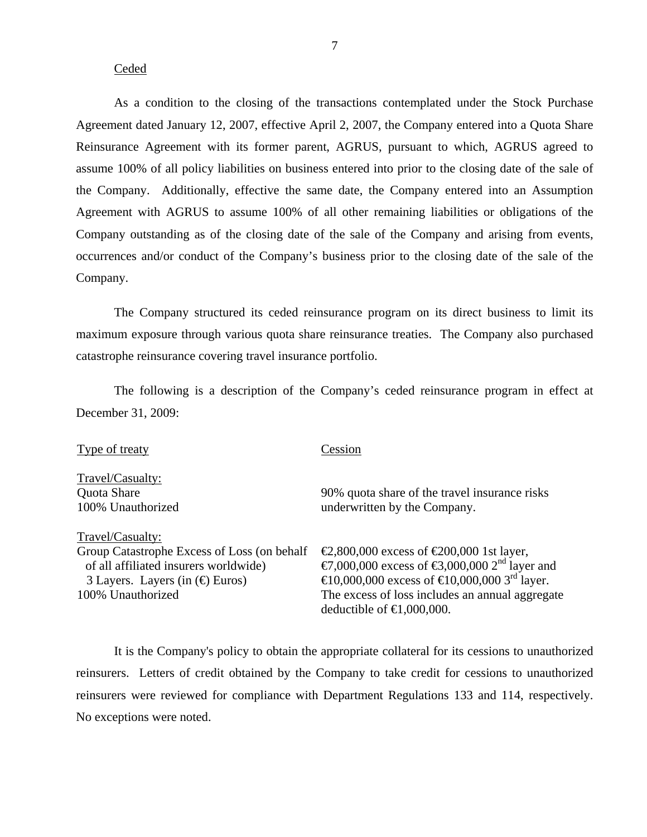#### Ceded

As a condition to the closing of the transactions contemplated under the Stock Purchase Agreement dated January 12, 2007, effective April 2, 2007, the Company entered into a Quota Share Reinsurance Agreement with its former parent, AGRUS, pursuant to which, AGRUS agreed to assume 100% of all policy liabilities on business entered into prior to the closing date of the sale of the Company. Additionally, effective the same date, the Company entered into an Assumption Agreement with AGRUS to assume 100% of all other remaining liabilities or obligations of the Company outstanding as of the closing date of the sale of the Company and arising from events, occurrences and/or conduct of the Company's business prior to the closing date of the sale of the Company.

The Company structured its ceded reinsurance program on its direct business to limit its maximum exposure through various quota share reinsurance treaties. The Company also purchased catastrophe reinsurance covering travel insurance portfolio.

The following is a description of the Company's ceded reinsurance program in effect at December 31, 2009:

| Type of treaty                              | Cession                                                                            |
|---------------------------------------------|------------------------------------------------------------------------------------|
| Travel/Casualty:                            |                                                                                    |
| Quota Share                                 | 90% quota share of the travel insurance risks                                      |
| 100% Unauthorized                           | underwritten by the Company.                                                       |
| Travel/Casualty:                            |                                                                                    |
| Group Catastrophe Excess of Loss (on behalf | $\text{\textsterling}2,800,000$ excess of $\text{\textsterling}200,000$ 1st layer, |
| of all affiliated insurers worldwide)       | €7,000,000 excess of €3,000,000 2 <sup>nd</sup> layer and                          |
| 3 Layers. Layers (in $(\bigoplus$ Euros)    | €10,000,000 excess of €10,000,000 3 <sup>rd</sup> layer.                           |
| 100% Unauthorized                           | The excess of loss includes an annual aggregate                                    |
|                                             | deductible of $\bigoplus$ ,000,000.                                                |

It is the Company's policy to obtain the appropriate collateral for its cessions to unauthorized reinsurers. Letters of credit obtained by the Company to take credit for cessions to unauthorized reinsurers were reviewed for compliance with Department Regulations 133 and 114, respectively. No exceptions were noted.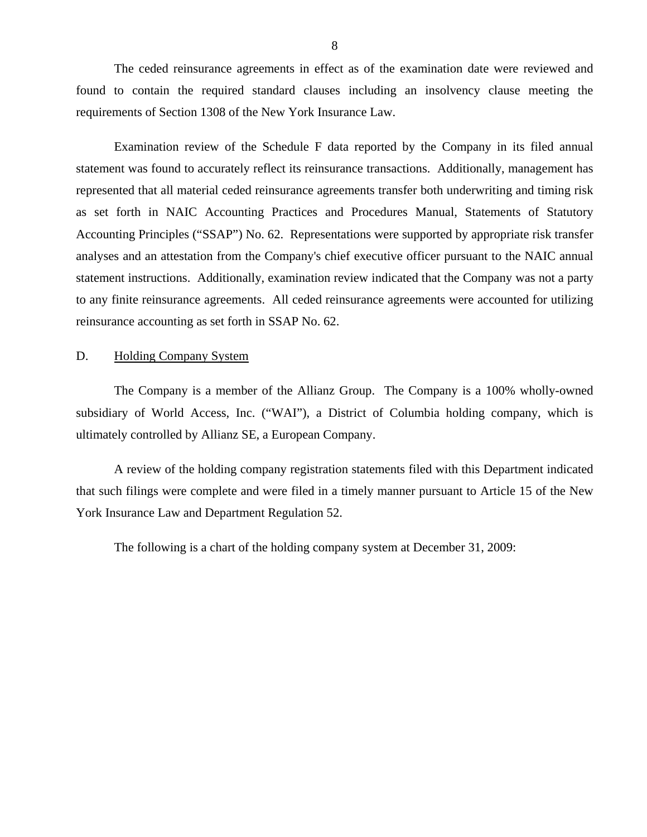<span id="page-9-0"></span>The ceded reinsurance agreements in effect as of the examination date were reviewed and found to contain the required standard clauses including an insolvency clause meeting the requirements of Section 1308 of the New York Insurance Law.

Examination review of the Schedule F data reported by the Company in its filed annual statement was found to accurately reflect its reinsurance transactions. Additionally, management has represented that all material ceded reinsurance agreements transfer both underwriting and timing risk as set forth in NAIC Accounting Practices and Procedures Manual, Statements of Statutory Accounting Principles ("SSAP") No. 62. Representations were supported by appropriate risk transfer analyses and an attestation from the Company's chief executive officer pursuant to the NAIC annual statement instructions. Additionally, examination review indicated that the Company was not a party to any finite reinsurance agreements. All ceded reinsurance agreements were accounted for utilizing reinsurance accounting as set forth in SSAP No. 62.

#### D. Holding Company System

The Company is a member of the Allianz Group. The Company is a 100% wholly-owned subsidiary of World Access, Inc. ("WAI"), a District of Columbia holding company, which is ultimately controlled by Allianz SE, a European Company.

A review of the holding company registration statements filed with this Department indicated that such filings were complete and were filed in a timely manner pursuant to Article 15 of the New York Insurance Law and Department Regulation 52.

The following is a chart of the holding company system at December 31, 2009: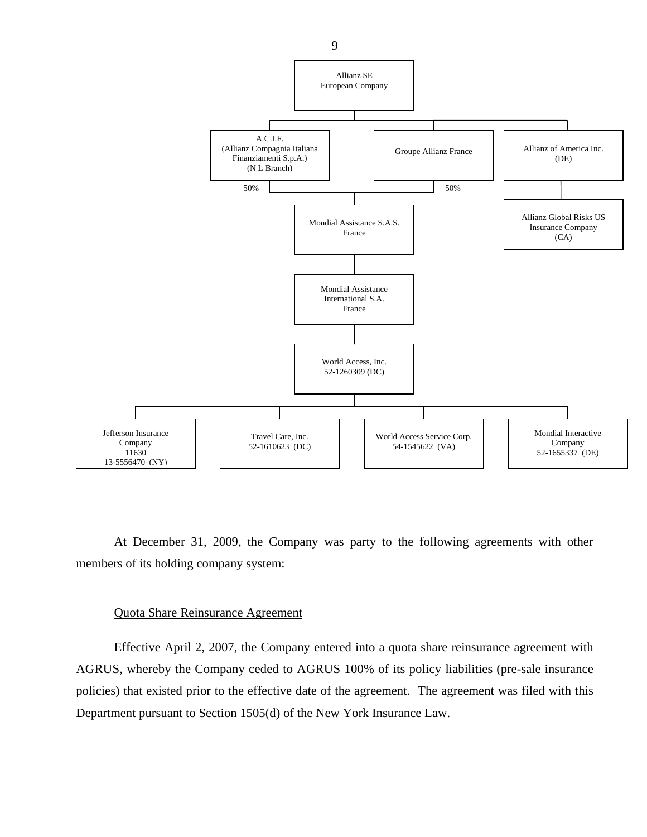

At December 31, 2009, the Company was party to the following agreements with other members of its holding company system:

#### Quota Share Reinsurance Agreement

Effective April 2, 2007, the Company entered into a quota share reinsurance agreement with AGRUS, whereby the Company ceded to AGRUS 100% of its policy liabilities (pre-sale insurance policies) that existed prior to the effective date of the agreement. The agreement was filed with this Department pursuant to Section 1505(d) of the New York Insurance Law.

9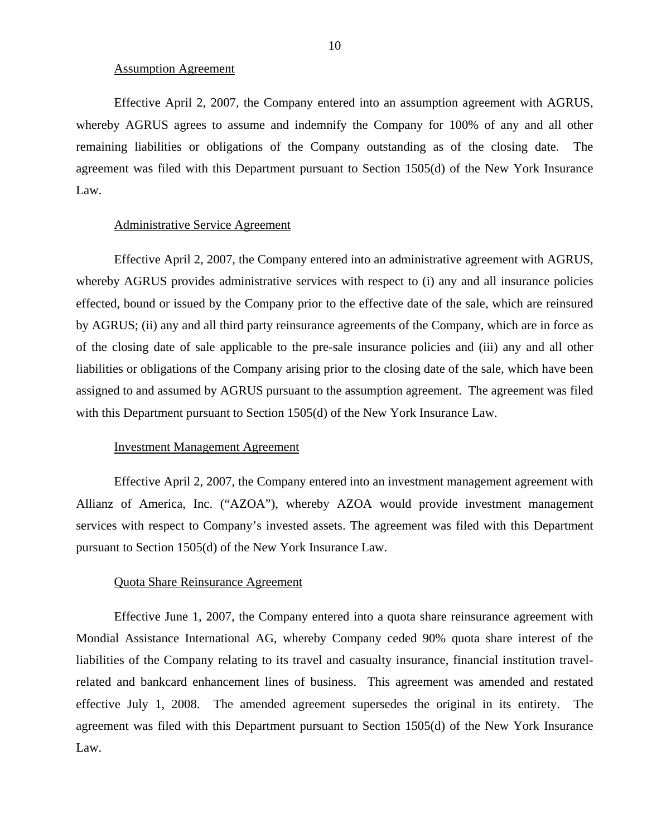#### Assumption Agreement

Effective April 2, 2007, the Company entered into an assumption agreement with AGRUS, whereby AGRUS agrees to assume and indemnify the Company for 100% of any and all other remaining liabilities or obligations of the Company outstanding as of the closing date. The agreement was filed with this Department pursuant to Section 1505(d) of the New York Insurance Law.

#### Administrative Service Agreement

Effective April 2, 2007, the Company entered into an administrative agreement with AGRUS, whereby AGRUS provides administrative services with respect to (i) any and all insurance policies effected, bound or issued by the Company prior to the effective date of the sale, which are reinsured by AGRUS; (ii) any and all third party reinsurance agreements of the Company, which are in force as of the closing date of sale applicable to the pre-sale insurance policies and (iii) any and all other liabilities or obligations of the Company arising prior to the closing date of the sale, which have been assigned to and assumed by AGRUS pursuant to the assumption agreement. The agreement was filed with this Department pursuant to Section 1505(d) of the New York Insurance Law.

#### Investment Management Agreement

Effective April 2, 2007, the Company entered into an investment management agreement with Allianz of America, Inc. ("AZOA"), whereby AZOA would provide investment management services with respect to Company's invested assets. The agreement was filed with this Department pursuant to Section 1505(d) of the New York Insurance Law.

#### Quota Share Reinsurance Agreement

Effective June 1, 2007, the Company entered into a quota share reinsurance agreement with Mondial Assistance International AG, whereby Company ceded 90% quota share interest of the liabilities of the Company relating to its travel and casualty insurance, financial institution travelrelated and bankcard enhancement lines of business. This agreement was amended and restated effective July 1, 2008. The amended agreement supersedes the original in its entirety. The agreement was filed with this Department pursuant to Section 1505(d) of the New York Insurance Law.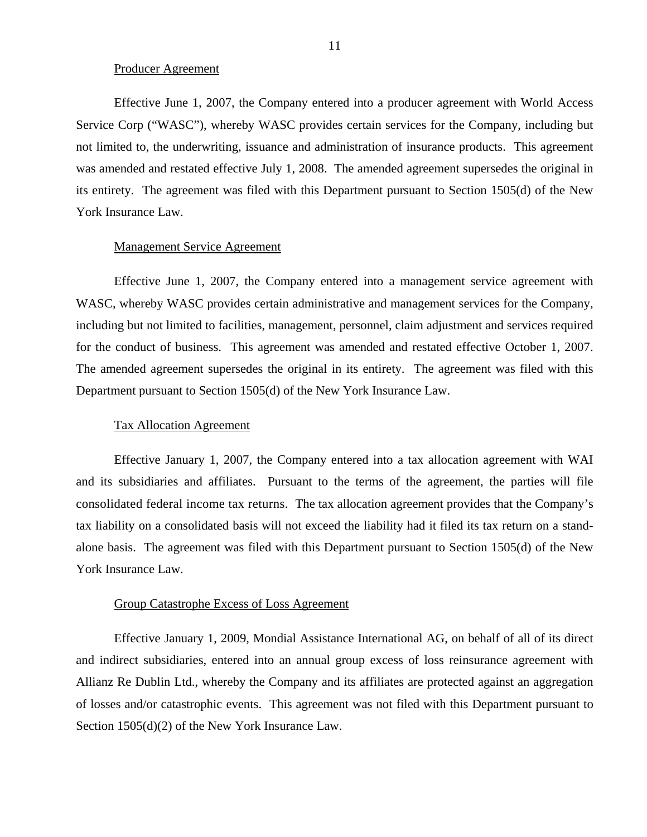#### Producer Agreement

Effective June 1, 2007, the Company entered into a producer agreement with World Access Service Corp ("WASC"), whereby WASC provides certain services for the Company, including but not limited to, the underwriting, issuance and administration of insurance products. This agreement was amended and restated effective July 1, 2008. The amended agreement supersedes the original in its entirety. The agreement was filed with this Department pursuant to Section 1505(d) of the New York Insurance Law.

#### Management Service Agreement

Effective June 1, 2007, the Company entered into a management service agreement with WASC, whereby WASC provides certain administrative and management services for the Company, including but not limited to facilities, management, personnel, claim adjustment and services required for the conduct of business. This agreement was amended and restated effective October 1, 2007. The amended agreement supersedes the original in its entirety. The agreement was filed with this Department pursuant to Section 1505(d) of the New York Insurance Law.

#### Tax Allocation Agreement

Effective January 1, 2007, the Company entered into a tax allocation agreement with WAI and its subsidiaries and affiliates. Pursuant to the terms of the agreement, the parties will file consolidated federal income tax returns. The tax allocation agreement provides that the Company's tax liability on a consolidated basis will not exceed the liability had it filed its tax return on a standalone basis. The agreement was filed with this Department pursuant to Section 1505(d) of the New York Insurance Law.

#### Group Catastrophe Excess of Loss Agreement

Effective January 1, 2009, Mondial Assistance International AG, on behalf of all of its direct and indirect subsidiaries, entered into an annual group excess of loss reinsurance agreement with Allianz Re Dublin Ltd., whereby the Company and its affiliates are protected against an aggregation of losses and/or catastrophic events. This agreement was not filed with this Department pursuant to Section 1505(d)(2) of the New York Insurance Law.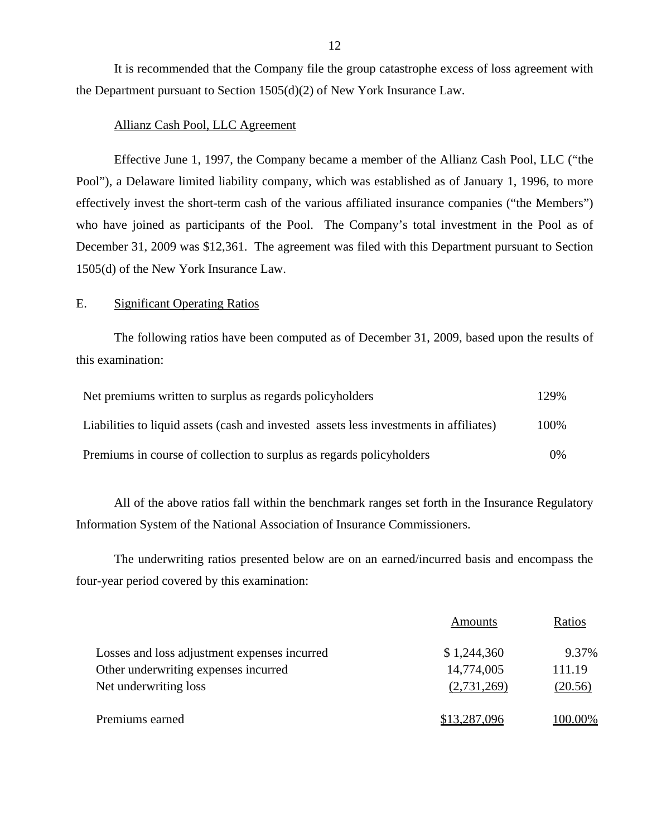It is recommended that the Company file the group catastrophe excess of loss agreement with the Department pursuant to Section 1505(d)(2) of New York Insurance Law.

#### Allianz Cash Pool, LLC Agreement

Effective June 1, 1997, the Company became a member of the Allianz Cash Pool, LLC ("the Pool"), a Delaware limited liability company, which was established as of January 1, 1996, to more effectively invest the short-term cash of the various affiliated insurance companies ("the Members") who have joined as participants of the Pool. The Company's total investment in the Pool as of December 31, 2009 was \$12,361. The agreement was filed with this Department pursuant to Section 1505(d) of the New York Insurance Law.

#### E. Significant Operating Ratios

The following ratios have been computed as of December 31, 2009, based upon the results of this examination:

| Net premiums written to surplus as regards policyholders                               | 129%  |
|----------------------------------------------------------------------------------------|-------|
| Liabilities to liquid assets (cash and invested assets less investments in affiliates) | 100%  |
| Premiums in course of collection to surplus as regards policyholders                   | $0\%$ |

All of the above ratios fall within the benchmark ranges set forth in the Insurance Regulatory Information System of the National Association of Insurance Commissioners.

The underwriting ratios presented below are on an earned/incurred basis and encompass the four-year period covered by this examination:

|                                              | Amounts      | Ratios  |
|----------------------------------------------|--------------|---------|
| Losses and loss adjustment expenses incurred | \$1,244,360  | 9.37%   |
| Other underwriting expenses incurred         | 14,774,005   | 111.19  |
| Net underwriting loss                        | (2,731,269)  | (20.56) |
| Premiums earned                              | \$13,287,096 | 100.00% |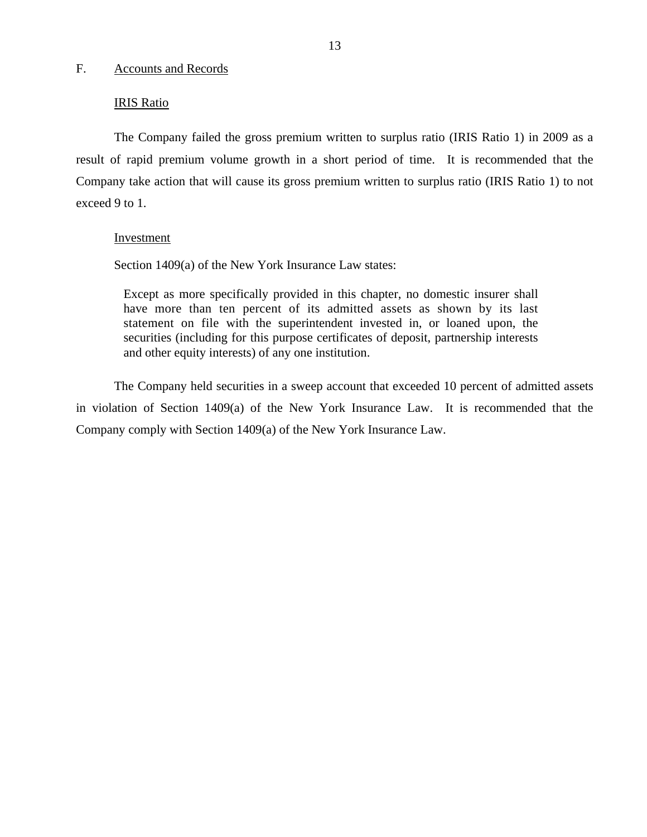#### <span id="page-14-0"></span>F. Accounts and Records

#### IRIS Ratio

The Company failed the gross premium written to surplus ratio (IRIS Ratio 1) in 2009 as a result of rapid premium volume growth in a short period of time. It is recommended that the Company take action that will cause its gross premium written to surplus ratio (IRIS Ratio 1) to not exceed 9 to 1.

#### Investment

Section 1409(a) of the New York Insurance Law states:

Except as more specifically provided in this chapter, no domestic insurer shall have more than ten percent of its admitted assets as shown by its last statement on file with the superintendent invested in, or loaned upon, the securities (including for this purpose certificates of deposit, partnership interests and other equity interests) of any one institution.

The Company held securities in a sweep account that exceeded 10 percent of admitted assets in violation of Section 1409(a) of the New York Insurance Law. It is recommended that the Company comply with Section 1409(a) of the New York Insurance Law.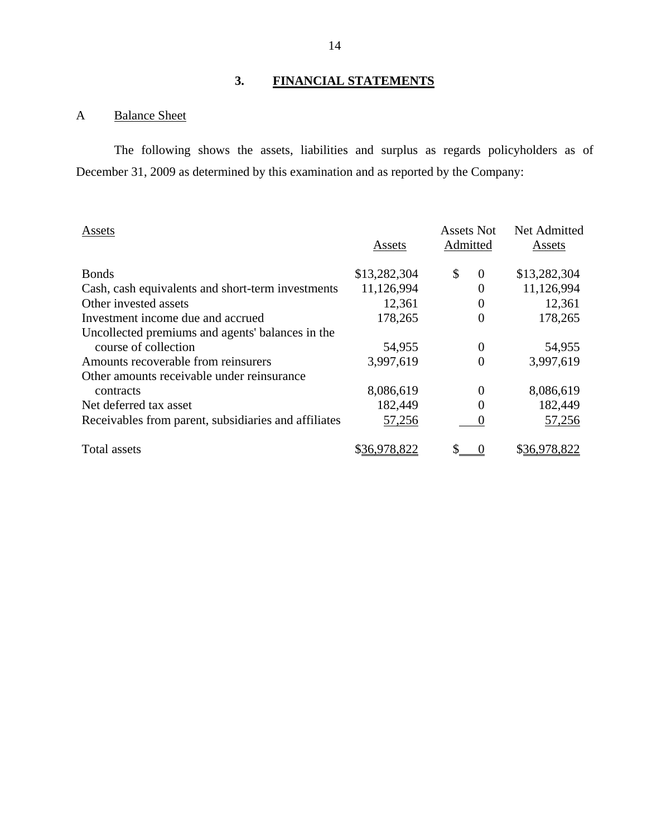## **3. FINANCIAL STATEMENTS**

## <span id="page-15-0"></span>A Balance Sheet

The following shows the assets, liabilities and surplus as regards policyholders as of December 31, 2009 as determined by this examination and as reported by the Company:

| Assets                                               |              | <b>Assets Not</b> | Net Admitted |
|------------------------------------------------------|--------------|-------------------|--------------|
|                                                      | Assets       | Admitted          | Assets       |
| <b>Bonds</b>                                         | \$13,282,304 | \$<br>$\theta$    | \$13,282,304 |
| Cash, cash equivalents and short-term investments    | 11,126,994   | 0                 | 11,126,994   |
| Other invested assets                                | 12,361       | 0                 | 12,361       |
| Investment income due and accrued                    | 178,265      | $\theta$          | 178,265      |
| Uncollected premiums and agents' balances in the     |              |                   |              |
| course of collection                                 | 54,955       | 0                 | 54,955       |
| Amounts recoverable from reinsurers                  | 3,997,619    | 0                 | 3,997,619    |
| Other amounts receivable under reinsurance           |              |                   |              |
| contracts                                            | 8,086,619    | $\Omega$          | 8,086,619    |
| Net deferred tax asset                               | 182,449      | 0                 | 182,449      |
| Receivables from parent, subsidiaries and affiliates | 57,256       |                   | 57,256       |
| Total assets                                         |              |                   | \$36,978,822 |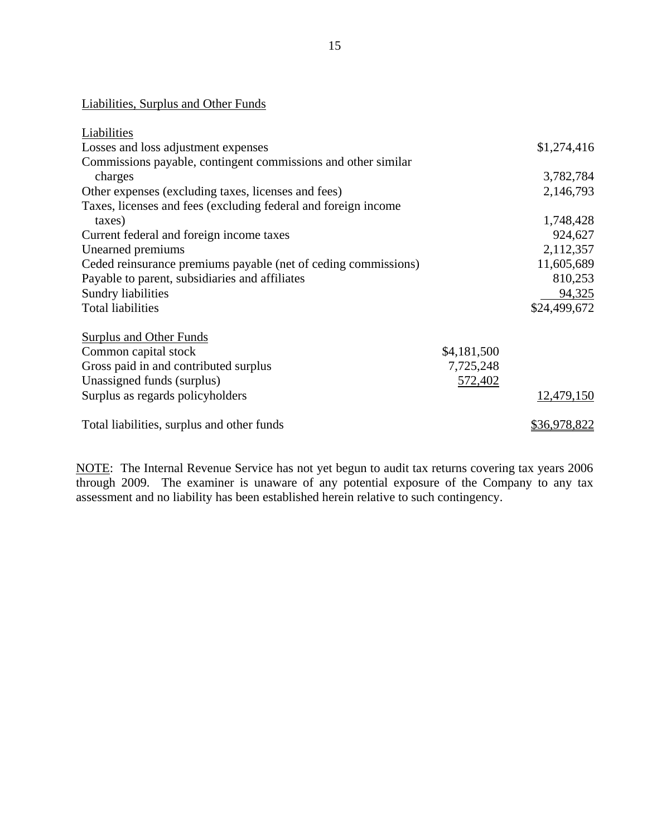## Liabilities, Surplus and Other Funds

| Liabilities                                                    |             |                     |
|----------------------------------------------------------------|-------------|---------------------|
| Losses and loss adjustment expenses                            |             | \$1,274,416         |
| Commissions payable, contingent commissions and other similar  |             |                     |
| charges                                                        |             | 3,782,784           |
| Other expenses (excluding taxes, licenses and fees)            |             | 2,146,793           |
| Taxes, licenses and fees (excluding federal and foreign income |             |                     |
| taxes)                                                         |             | 1,748,428           |
| Current federal and foreign income taxes                       |             | 924,627             |
| Unearned premiums                                              |             | 2,112,357           |
| Ceded reinsurance premiums payable (net of ceding commissions) |             | 11,605,689          |
| Payable to parent, subsidiaries and affiliates                 |             | 810,253             |
| Sundry liabilities                                             |             | 94,325              |
| <b>Total liabilities</b>                                       |             | \$24,499,672        |
| <b>Surplus and Other Funds</b>                                 |             |                     |
| Common capital stock                                           | \$4,181,500 |                     |
| Gross paid in and contributed surplus                          | 7,725,248   |                     |
| Unassigned funds (surplus)                                     | 572,402     |                     |
| Surplus as regards policyholders                               |             | 12,479,150          |
| Total liabilities, surplus and other funds                     |             | <u>\$36,978,822</u> |

NOTE: The Internal Revenue Service has not yet begun to audit tax returns covering tax years 2006 through 2009. The examiner is unaware of any potential exposure of the Company to any tax assessment and no liability has been established herein relative to such contingency.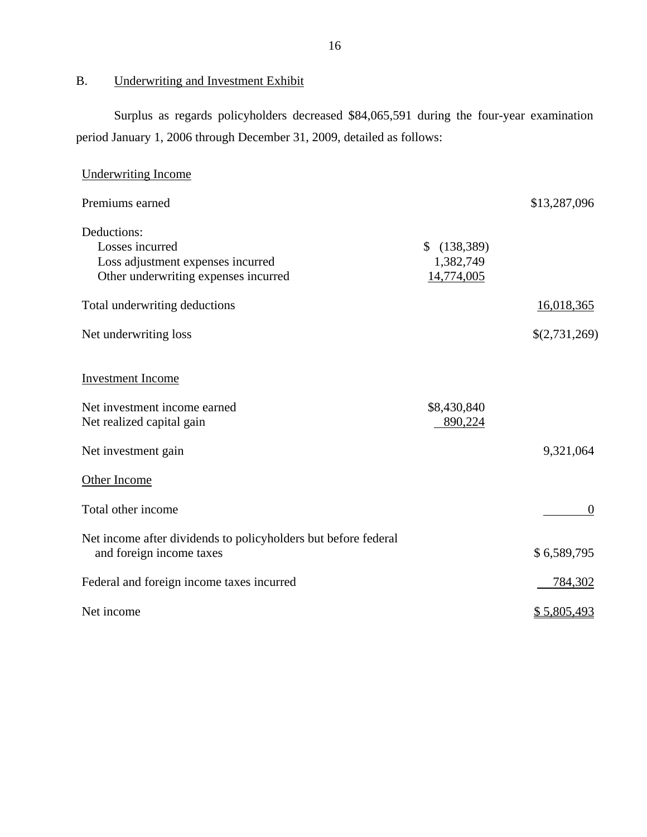B. Underwriting and Investment Exhibit

Surplus as regards policyholders decreased \$84,065,591 during the four-year examination period January 1, 2006 through December 31, 2009, detailed as follows:

| <b>Underwriting Income</b>                                                                                  |                                             |               |
|-------------------------------------------------------------------------------------------------------------|---------------------------------------------|---------------|
| Premiums earned                                                                                             |                                             | \$13,287,096  |
| Deductions:<br>Losses incurred<br>Loss adjustment expenses incurred<br>Other underwriting expenses incurred | \$<br>(138, 389)<br>1,382,749<br>14,774,005 |               |
| Total underwriting deductions                                                                               |                                             | 16,018,365    |
| Net underwriting loss                                                                                       |                                             | \$(2,731,269) |
| <b>Investment Income</b>                                                                                    |                                             |               |
| Net investment income earned<br>Net realized capital gain                                                   | \$8,430,840<br>890,224                      |               |
| Net investment gain                                                                                         |                                             | 9,321,064     |
| Other Income                                                                                                |                                             |               |
| Total other income                                                                                          |                                             | $\theta$      |
| Net income after dividends to policyholders but before federal<br>and foreign income taxes                  |                                             | \$6,589,795   |
| Federal and foreign income taxes incurred                                                                   |                                             | 784,302       |
| Net income                                                                                                  |                                             | \$5,805,493   |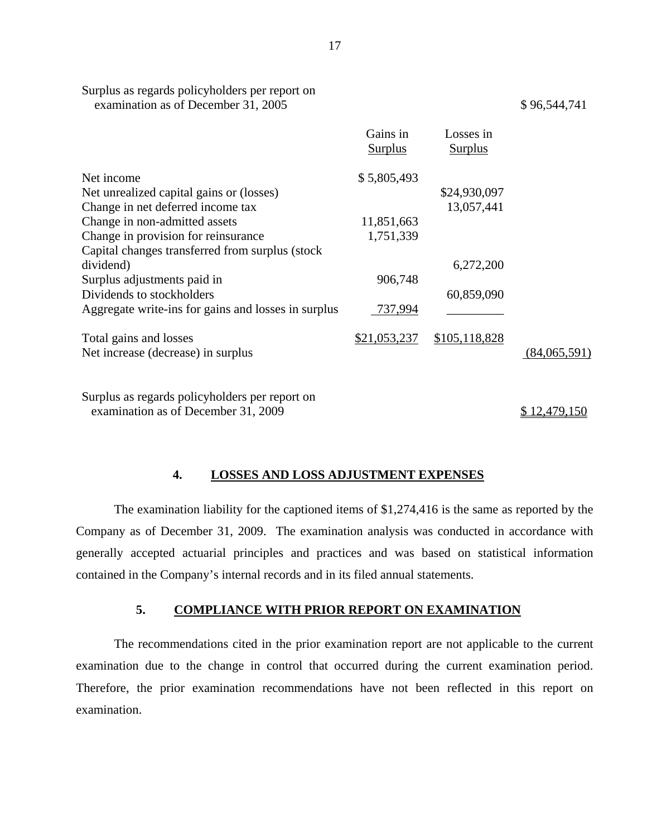|                                                     | Gains in<br>Surplus | Losses in<br>Surplus |              |
|-----------------------------------------------------|---------------------|----------------------|--------------|
| Net income                                          | \$5,805,493         |                      |              |
| Net unrealized capital gains or (losses)            |                     | \$24,930,097         |              |
| Change in net deferred income tax                   |                     | 13,057,441           |              |
| Change in non-admitted assets                       | 11,851,663          |                      |              |
| Change in provision for reinsurance                 | 1,751,339           |                      |              |
| Capital changes transferred from surplus (stock)    |                     |                      |              |
| dividend)                                           |                     | 6,272,200            |              |
| Surplus adjustments paid in                         | 906,748             |                      |              |
| Dividends to stockholders                           |                     | 60,859,090           |              |
| Aggregate write-ins for gains and losses in surplus | 737,994             |                      |              |
| Total gains and losses                              | \$21,053,237        | \$105,118,828        |              |
| Net increase (decrease) in surplus                  |                     |                      | (84,065,591) |
| Surplus as regards policyholders per report on      |                     |                      |              |
| examination as of December 31, 2009                 |                     |                      | \$12,479,150 |

#### **4. LOSSES AND LOSS ADJUSTMENT EXPENSES**

The examination liability for the captioned items of \$1,274,416 is the same as reported by the Company as of December 31, 2009. The examination analysis was conducted in accordance with generally accepted actuarial principles and practices and was based on statistical information contained in the Company's internal records and in its filed annual statements.

#### **5. COMPLIANCE WITH PRIOR REPORT ON EXAMINATION**

The recommendations cited in the prior examination report are not applicable to the current examination due to the change in control that occurred during the current examination period. Therefore, the prior examination recommendations have not been reflected in this report on examination.

17

Surplus as regards policyholders per report on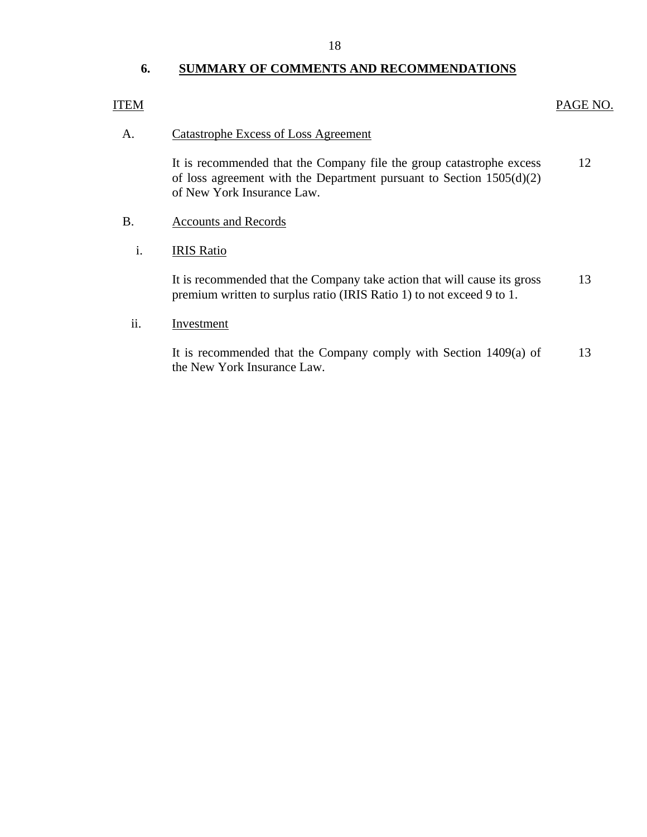18

## **6. SUMMARY OF COMMENTS AND RECOMMENDATIONS**

### ITEM

#### PAGE NO.

#### A. Catastrophe Excess of Loss Agreement

It is recommended that the Company file the group catastrophe excess of loss agreement with the Department pursuant to Section 1505(d)(2) of New York Insurance Law. 12

- B. Accounts and Records
	- i. IRIS Ratio

It is recommended that the Company take action that will cause its gross premium written to surplus ratio (IRIS Ratio 1) to not exceed 9 to 1. 13

#### ii. Investment

It is recommended that the Company comply with Section 1409(a) of the New York Insurance Law. 13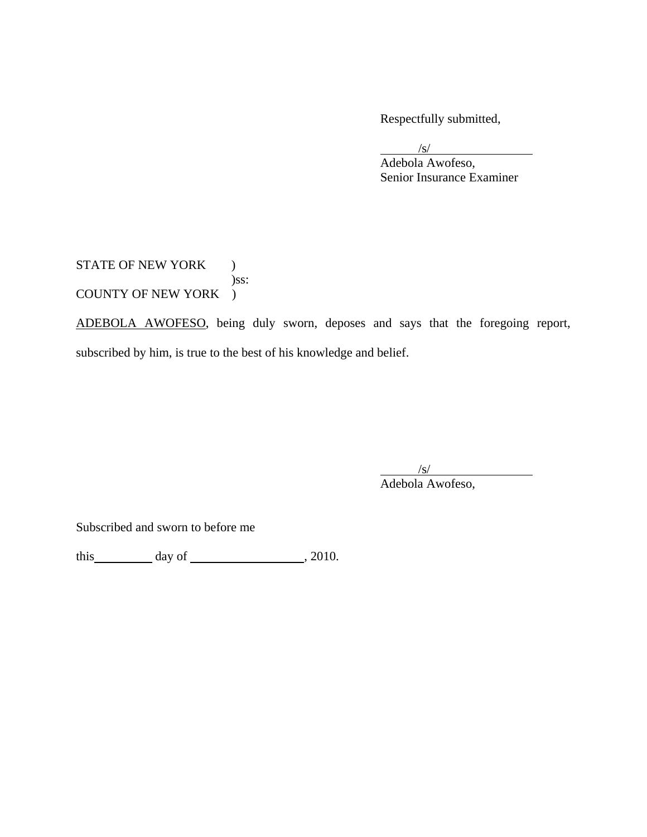Respectfully submitted,

 $\frac{1}{\sqrt{S}}$  Adebola Awofeso, Senior Insurance Examiner

STATE OF NEW YORK ) )ss: COUNTY OF NEW YORK )

ADEBOLA AWOFESO, being duly sworn, deposes and says that the foregoing report, subscribed by him, is true to the best of his knowledge and belief.

 $\sqrt{s}$ 

Adebola Awofeso,

Subscribed and sworn to before me

this  $\qquad \qquad$  day of  $\qquad \qquad$  , 2010.